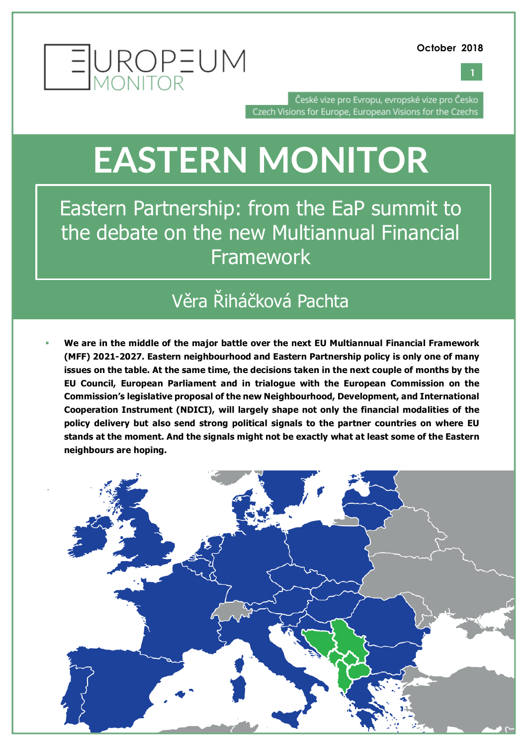



České vize pro Evropu, evropské vize pro Česko Czech Visions for Europe, European Visions for the Czechs

## **EASTERN MONITOR**

Eastern Partnership: from the EaP summit to the debate on the new Multiannual Financial **Framework** 

### Věra Řiháčková Pachta

§ **We are in the middle of the major battle over the next EU Multiannual Financial Framework (MFF) 2021-2027. Eastern neighbourhood and Eastern Partnership policy is only one of many issues on the table. At the same time, the decisions taken in the next couple of months by the EU Council, European Parliament and in trialogue with the European Commission on the Commission's legislative proposal of the new Neighbourhood, Development, and International Cooperation Instrument (NDICI), will largely shape not only the financial modalities of the policy delivery but also send strong political signals to the partner countries on where EU stands at the moment. And the signals might not be exactly what at least some of the Eastern neighbours are hoping.** 

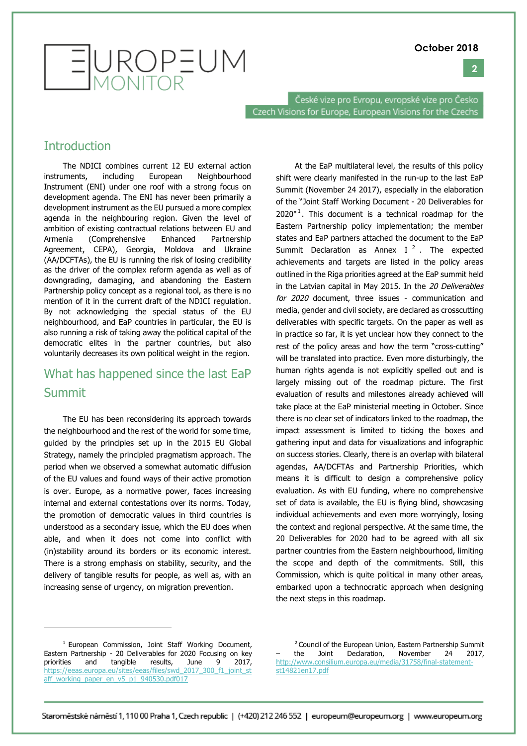**2**



České vize pro Evropu, evropské vize pro Česko Czech Visions for Europe, European Visions for the Czechs

#### **Introduction**

The NDICI combines current 12 EU external action instruments, including European Neighbourhood Instrument (ENI) under one roof with a strong focus on development agenda. The ENI has never been primarily a development instrument as the EU pursued a more complex agenda in the neighbouring region. Given the level of ambition of existing contractual relations between EU and Armenia (Comprehensive Enhanced Partnership Agreement, CEPA), Georgia, Moldova and Ukraine (AA/DCFTAs), the EU is running the risk of losing credibility as the driver of the complex reform agenda as well as of downgrading, damaging, and abandoning the Eastern Partnership policy concept as a regional tool, as there is no mention of it in the current draft of the NDICI regulation. By not acknowledging the special status of the EU neighbourhood, and EaP countries in particular, the EU is also running a risk of taking away the political capital of the democratic elites in the partner countries, but also voluntarily decreases its own political weight in the region.

#### What has happened since the last EaP Summit

The EU has been reconsidering its approach towards the neighbourhood and the rest of the world for some time, guided by the principles set up in the 2015 EU Global Strategy, namely the principled pragmatism approach. The period when we observed a somewhat automatic diffusion of the EU values and found ways of their active promotion is over. Europe, as a normative power, faces increasing internal and external contestations over its norms. Today, the promotion of democratic values in third countries is understood as a secondary issue, which the EU does when able, and when it does not come into conflict with (in)stability around its borders or its economic interest. There is a strong emphasis on stability, security, and the delivery of tangible results for people, as well as, with an increasing sense of urgency, on migration prevention.

At the EaP multilateral level, the results of this policy shift were clearly manifested in the run-up to the last EaP Summit (November 24 2017), especially in the elaboration of the "Joint Staff Working Document - 20 Deliverables for  $2020<sup>n1</sup>$ . This document is a technical roadmap for the Eastern Partnership policy implementation; the member states and EaP partners attached the document to the EaP Summit Declaration as Annex I $^2$ . The expected achievements and targets are listed in the policy areas outlined in the Riga priorities agreed at the EaP summit held in the Latvian capital in May 2015. In the 20 Deliverables for 2020 document, three issues - communication and media, gender and civil society, are declared as crosscutting deliverables with specific targets. On the paper as well as in practice so far, it is yet unclear how they connect to the rest of the policy areas and how the term "cross-cutting" will be translated into practice. Even more disturbingly, the human rights agenda is not explicitly spelled out and is largely missing out of the roadmap picture. The first evaluation of results and milestones already achieved will take place at the EaP ministerial meeting in October. Since there is no clear set of indicators linked to the roadmap, the impact assessment is limited to ticking the boxes and gathering input and data for visualizations and infographic on success stories. Clearly, there is an overlap with bilateral agendas, AA/DCFTAs and Partnership Priorities, which means it is difficult to design a comprehensive policy evaluation. As with EU funding, where no comprehensive set of data is available, the EU is flying blind, showcasing individual achievements and even more worryingly, losing the context and regional perspective. At the same time, the 20 Deliverables for 2020 had to be agreed with all six partner countries from the Eastern neighbourhood, limiting the scope and depth of the commitments. Still, this Commission, which is quite political in many other areas, embarked upon a technocratic approach when designing the next steps in this roadmap.

<sup>2</sup> Council of the European Union, Eastern Partnership Summit<br>the Joint Declaration, November 24 2017. the Joint Declaration, November 24 2017, http://www.consilium.europa.eu/media/31758/final-statementst14821en17.pdf

<sup>&</sup>lt;sup>1</sup> European Commission, Joint Staff Working Document, Eastern Partnership - 20 Deliverables for 2020 Focusing on key priorities and tangible results, June 9 2017, https://eeas.europa.eu/sites/eeas/files/swd\_2017\_300\_f1\_joint\_st aff\_working\_paper\_en\_v5\_p1\_940530.pdf017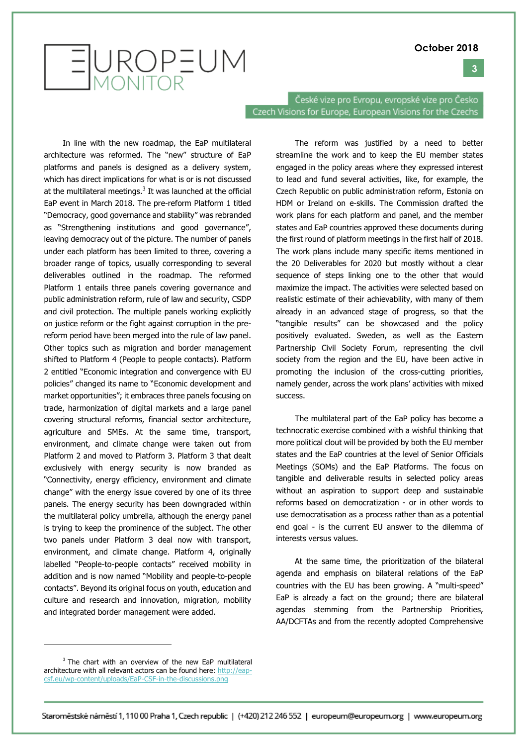#### **3**

# EUROPEUM

České vize pro Evropu, evropské vize pro Česko Czech Visions for Europe, European Visions for the Czechs

In line with the new roadmap, the EaP multilateral architecture was reformed. The "new" structure of EaP platforms and panels is designed as a delivery system, which has direct implications for what is or is not discussed at the multilateral meetings. $3$  It was launched at the official EaP event in March 2018. The pre-reform Platform 1 titled "Democracy, good governance and stability" was rebranded as "Strengthening institutions and good governance", leaving democracy out of the picture. The number of panels under each platform has been limited to three, covering a broader range of topics, usually corresponding to several deliverables outlined in the roadmap. The reformed Platform 1 entails three panels covering governance and public administration reform, rule of law and security, CSDP and civil protection. The multiple panels working explicitly on justice reform or the fight against corruption in the prereform period have been merged into the rule of law panel. Other topics such as migration and border management shifted to Platform 4 (People to people contacts). Platform 2 entitled "Economic integration and convergence with EU policies" changed its name to "Economic development and market opportunities"; it embraces three panels focusing on trade, harmonization of digital markets and a large panel covering structural reforms, financial sector architecture, agriculture and SMEs. At the same time, transport, environment, and climate change were taken out from Platform 2 and moved to Platform 3. Platform 3 that dealt exclusively with energy security is now branded as "Connectivity, energy efficiency, environment and climate change" with the energy issue covered by one of its three panels. The energy security has been downgraded within the multilateral policy umbrella, although the energy panel is trying to keep the prominence of the subject. The other two panels under Platform 3 deal now with transport, environment, and climate change. Platform 4, originally labelled "People-to-people contacts" received mobility in addition and is now named "Mobility and people-to-people contacts". Beyond its original focus on youth, education and culture and research and innovation, migration, mobility and integrated border management were added.

The reform was justified by a need to better streamline the work and to keep the EU member states engaged in the policy areas where they expressed interest to lead and fund several activities, like, for example, the Czech Republic on public administration reform, Estonia on HDM or Ireland on e-skills. The Commission drafted the work plans for each platform and panel, and the member states and EaP countries approved these documents during the first round of platform meetings in the first half of 2018. The work plans include many specific items mentioned in the 20 Deliverables for 2020 but mostly without a clear sequence of steps linking one to the other that would maximize the impact. The activities were selected based on realistic estimate of their achievability, with many of them already in an advanced stage of progress, so that the "tangible results" can be showcased and the policy positively evaluated. Sweden, as well as the Eastern Partnership Civil Society Forum, representing the civil society from the region and the EU, have been active in promoting the inclusion of the cross-cutting priorities, namely gender, across the work plans' activities with mixed success.

The multilateral part of the EaP policy has become a technocratic exercise combined with a wishful thinking that more political clout will be provided by both the EU member states and the EaP countries at the level of Senior Officials Meetings (SOMs) and the EaP Platforms. The focus on tangible and deliverable results in selected policy areas without an aspiration to support deep and sustainable reforms based on democratization - or in other words to use democratisation as a process rather than as a potential end goal - is the current EU answer to the dilemma of interests versus values.

At the same time, the prioritization of the bilateral agenda and emphasis on bilateral relations of the EaP countries with the EU has been growing. A "multi-speed" EaP is already a fact on the ground; there are bilateral agendas stemming from the Partnership Priorities, AA/DCFTAs and from the recently adopted Comprehensive

 $\overline{a}$ 

<sup>&</sup>lt;sup>3</sup> The chart with an overview of the new EaP multilateral architecture with all relevant actors can be found here: http://eapcsf.eu/wp-content/uploads/EaP-CSF-in-the-discussions.png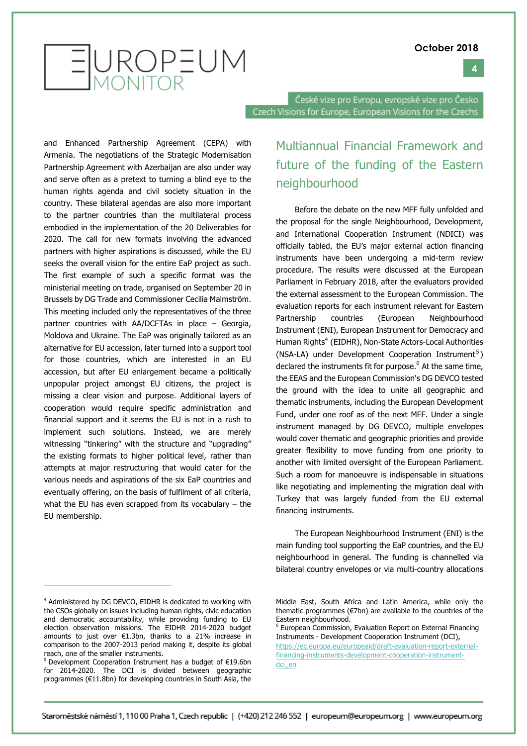#### **4**



České vize pro Evropu, evropské vize pro Česko Czech Visions for Europe, European Visions for the Czechs

and Enhanced Partnership Agreement (CEPA) with Armenia. The negotiations of the Strategic Modernisation Partnership Agreement with Azerbaijan are also under way and serve often as a pretext to turning a blind eye to the human rights agenda and civil society situation in the country. These bilateral agendas are also more important to the partner countries than the multilateral process embodied in the implementation of the 20 Deliverables for 2020. The call for new formats involving the advanced partners with higher aspirations is discussed, while the EU seeks the overall vision for the entire EaP project as such. The first example of such a specific format was the ministerial meeting on trade, organised on September 20 in Brussels by DG Trade and Commissioner Cecilia Malmström. This meeting included only the representatives of the three partner countries with AA/DCFTAs in place – Georgia, Moldova and Ukraine. The EaP was originally tailored as an alternative for EU accession, later turned into a support tool for those countries, which are interested in an EU accession, but after EU enlargement became a politically unpopular project amongst EU citizens, the project is missing a clear vision and purpose. Additional layers of cooperation would require specific administration and financial support and it seems the EU is not in a rush to implement such solutions. Instead, we are merely witnessing "tinkering" with the structure and "upgrading" the existing formats to higher political level, rather than attempts at major restructuring that would cater for the various needs and aspirations of the six EaP countries and eventually offering, on the basis of fulfilment of all criteria, what the EU has even scrapped from its vocabulary  $-$  the EU membership.

#### Multiannual Financial Framework and future of the funding of the Eastern neighbourhood

Before the debate on the new MFF fully unfolded and the proposal for the single Neighbourhood, Development, and International Cooperation Instrument (NDICI) was officially tabled, the EU's major external action financing instruments have been undergoing a mid-term review procedure. The results were discussed at the European Parliament in February 2018, after the evaluators provided the external assessment to the European Commission. The evaluation reports for each instrument relevant for Eastern Partnership countries (European Neighbourhood Instrument (ENI), European Instrument for Democracy and Human Rights<sup>4</sup> (EIDHR), Non-State Actors-Local Authorities (NSA-LA) under Development Cooperation Instrument<sup>5</sup>) declared the instruments fit for purpose. $<sup>6</sup>$  At the same time,</sup> the EEAS and the European Commission's DG DEVCO tested the ground with the idea to unite all geographic and thematic instruments, including the European Development Fund, under one roof as of the next MFF. Under a single instrument managed by DG DEVCO, multiple envelopes would cover thematic and geographic priorities and provide greater flexibility to move funding from one priority to another with limited oversight of the European Parliament. Such a room for manoeuvre is indispensable in situations like negotiating and implementing the migration deal with Turkey that was largely funded from the EU external financing instruments.

The European Neighbourhood Instrument (ENI) is the main funding tool supporting the EaP countries, and the EU neighbourhood in general. The funding is channelled via bilateral country envelopes or via multi-country allocations

<sup>4</sup> Administered by DG DEVCO, EIDHR is dedicated to working with the CSOs globally on issues including human rights, civic education and democratic accountability, while providing funding to EU election observation missions. The EIDHR 2014-2020 budget amounts to just over €1.3bn, thanks to a 21% increase in comparison to the 2007-2013 period making it, despite its global reach, one of the smaller instruments.

 $5$  Development Cooperation Instrument has a budget of €19.6bn for 2014-2020. The DCI is divided between geographic programmes (€11.8bn) for developing countries in South Asia, the

Middle East, South Africa and Latin America, while only the thematic programmes (€7bn) are available to the countries of the Eastern neighbourhood.

<sup>6</sup> European Commission, Evaluation Report on External Financing Instruments - Development Cooperation Instrument (DCI),

https://ec.europa.eu/europeaid/draft-evaluation-report-externalfinancing-instruments-development-cooperation-instrumentdci\_en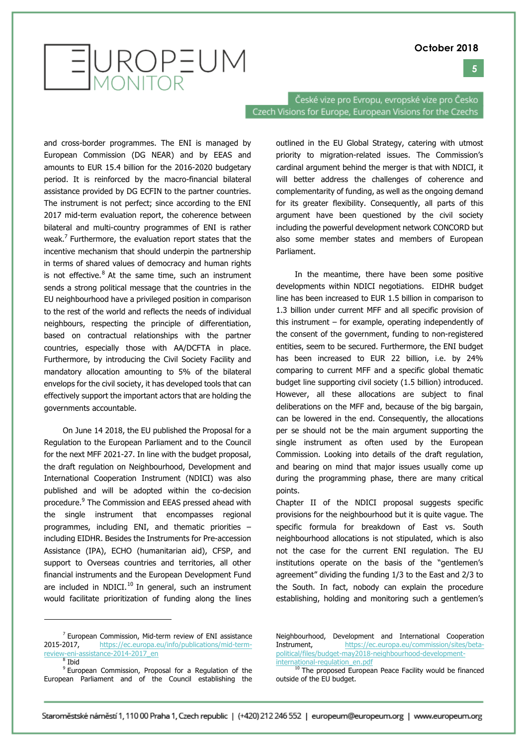#### **5**



České vize pro Evropu, evropské vize pro Česko Czech Visions for Europe, European Visions for the Czechs

and cross-border programmes. The ENI is managed by European Commission (DG NEAR) and by EEAS and amounts to EUR 15.4 billion for the 2016-2020 budgetary period. It is reinforced by the macro-financial bilateral assistance provided by DG ECFIN to the partner countries. The instrument is not perfect; since according to the ENI 2017 mid-term evaluation report, the coherence between bilateral and multi-country programmes of ENI is rather weak.<sup>7</sup> Furthermore, the evaluation report states that the incentive mechanism that should underpin the partnership in terms of shared values of democracy and human rights is not effective. $8$  At the same time, such an instrument sends a strong political message that the countries in the EU neighbourhood have a privileged position in comparison to the rest of the world and reflects the needs of individual neighbours, respecting the principle of differentiation, based on contractual relationships with the partner countries, especially those with AA/DCFTA in place. Furthermore, by introducing the Civil Society Facility and mandatory allocation amounting to 5% of the bilateral envelops for the civil society, it has developed tools that can effectively support the important actors that are holding the governments accountable.

On June 14 2018, the EU published the Proposal for a Regulation to the European Parliament and to the Council for the next MFF 2021-27. In line with the budget proposal, the draft regulation on Neighbourhood, Development and International Cooperation Instrument (NDICI) was also published and will be adopted within the co-decision procedure.<sup>9</sup> The Commission and EEAS pressed ahead with the single instrument that encompasses regional programmes, including ENI, and thematic priorities – including EIDHR. Besides the Instruments for Pre-accession Assistance (IPA), ECHO (humanitarian aid), CFSP, and support to Overseas countries and territories, all other financial instruments and the European Development Fund are included in NDICI. $^{10}$  In general, such an instrument would facilitate prioritization of funding along the lines

 $^8$  Ibid

outlined in the EU Global Strategy, catering with utmost priority to migration-related issues. The Commission's cardinal argument behind the merger is that with NDICI, it will better address the challenges of coherence and complementarity of funding, as well as the ongoing demand for its greater flexibility. Consequently, all parts of this argument have been questioned by the civil society including the powerful development network CONCORD but also some member states and members of European Parliament.

In the meantime, there have been some positive developments within NDICI negotiations. EIDHR budget line has been increased to EUR 1.5 billion in comparison to 1.3 billion under current MFF and all specific provision of this instrument – for example, operating independently of the consent of the government, funding to non-registered entities, seem to be secured. Furthermore, the ENI budget has been increased to EUR 22 billion, i.e. by 24% comparing to current MFF and a specific global thematic budget line supporting civil society (1.5 billion) introduced. However, all these allocations are subject to final deliberations on the MFF and, because of the big bargain, can be lowered in the end. Consequently, the allocations per se should not be the main argument supporting the single instrument as often used by the European Commission. Looking into details of the draft regulation, and bearing on mind that major issues usually come up during the programming phase, there are many critical points.

Chapter II of the NDICI proposal suggests specific provisions for the neighbourhood but it is quite vague. The specific formula for breakdown of East vs. South neighbourhood allocations is not stipulated, which is also not the case for the current ENI regulation. The EU institutions operate on the basis of the "gentlemen's agreement" dividing the funding 1/3 to the East and 2/3 to the South. In fact, nobody can explain the procedure establishing, holding and monitoring such a gentlemen's

 $7$  European Commission, Mid-term review of ENI assistance 2015-2017, https://ec.europa.eu/info/publications/mid-termreview-eni-assistance-2014-2017\_en

<sup>9</sup> European Commission, Proposal for a Regulation of the European Parliament and of the Council establishing the

Neighbourhood, Development and International Cooperation Instrument, https://ec.europa.eu/commission/sites/betapolitical/files/budget-may2018-neighbourhood-developmentinternational-regulation\_en.pdf

<sup>10</sup> The proposed European Peace Facility would be financed outside of the EU budget.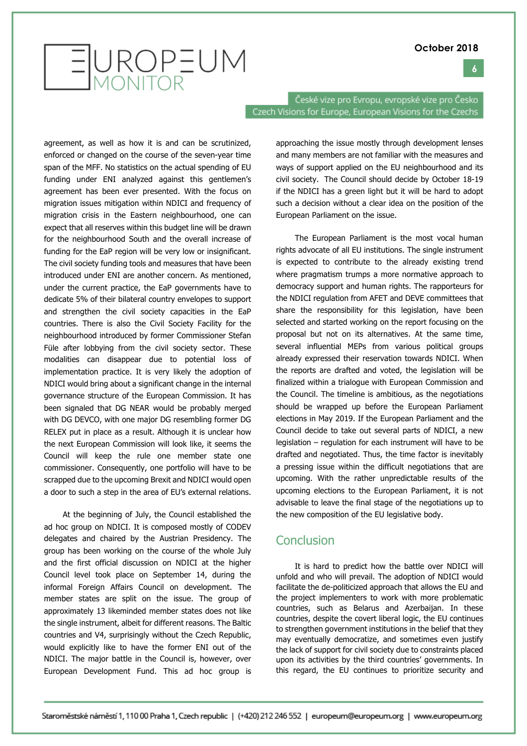

EUROPEUM

České vize pro Evropu, evropské vize pro Česko Czech Visions for Europe, European Visions for the Czechs

agreement, as well as how it is and can be scrutinized, enforced or changed on the course of the seven-year time span of the MFF. No statistics on the actual spending of EU funding under ENI analyzed against this gentlemen's agreement has been ever presented. With the focus on migration issues mitigation within NDICI and frequency of migration crisis in the Eastern neighbourhood, one can expect that all reserves within this budget line will be drawn for the neighbourhood South and the overall increase of funding for the EaP region will be very low or insignificant. The civil society funding tools and measures that have been introduced under ENI are another concern. As mentioned, under the current practice, the EaP governments have to dedicate 5% of their bilateral country envelopes to support and strengthen the civil society capacities in the EaP countries. There is also the Civil Society Facility for the neighbourhood introduced by former Commissioner Stefan Füle after lobbying from the civil society sector. These modalities can disappear due to potential loss of implementation practice. It is very likely the adoption of NDICI would bring about a significant change in the internal governance structure of the European Commission. It has been signaled that DG NEAR would be probably merged with DG DEVCO, with one major DG resembling former DG RELEX put in place as a result. Although it is unclear how the next European Commission will look like, it seems the Council will keep the rule one member state one commissioner. Consequently, one portfolio will have to be scrapped due to the upcoming Brexit and NDICI would open a door to such a step in the area of EU's external relations.

At the beginning of July, the Council established the ad hoc group on NDICI. It is composed mostly of CODEV delegates and chaired by the Austrian Presidency. The group has been working on the course of the whole July and the first official discussion on NDICI at the higher Council level took place on September 14, during the informal Foreign Affairs Council on development. The member states are split on the issue. The group of approximately 13 likeminded member states does not like the single instrument, albeit for different reasons. The Baltic countries and V4, surprisingly without the Czech Republic, would explicitly like to have the former ENI out of the NDICI. The major battle in the Council is, however, over European Development Fund. This ad hoc group is

approaching the issue mostly through development lenses and many members are not familiar with the measures and ways of support applied on the EU neighbourhood and its civil society. The Council should decide by October 18-19 if the NDICI has a green light but it will be hard to adopt such a decision without a clear idea on the position of the European Parliament on the issue.

The European Parliament is the most vocal human rights advocate of all EU institutions. The single instrument is expected to contribute to the already existing trend where pragmatism trumps a more normative approach to democracy support and human rights. The rapporteurs for the NDICI regulation from AFET and DEVE committees that share the responsibility for this legislation, have been selected and started working on the report focusing on the proposal but not on its alternatives. At the same time, several influential MEPs from various political groups already expressed their reservation towards NDICI. When the reports are drafted and voted, the legislation will be finalized within a trialogue with European Commission and the Council. The timeline is ambitious, as the negotiations should be wrapped up before the European Parliament elections in May 2019. If the European Parliament and the Council decide to take out several parts of NDICI, a new legislation – regulation for each instrument will have to be drafted and negotiated. Thus, the time factor is inevitably a pressing issue within the difficult negotiations that are upcoming. With the rather unpredictable results of the upcoming elections to the European Parliament, it is not advisable to leave the final stage of the negotiations up to the new composition of the EU legislative body.

#### **Conclusion**

It is hard to predict how the battle over NDICI will unfold and who will prevail. The adoption of NDICI would facilitate the de-politicized approach that allows the EU and the project implementers to work with more problematic countries, such as Belarus and Azerbaijan. In these countries, despite the covert liberal logic, the EU continues to strengthen government institutions in the belief that they may eventually democratize, and sometimes even justify the lack of support for civil society due to constraints placed upon its activities by the third countries' governments. In this regard, the EU continues to prioritize security and